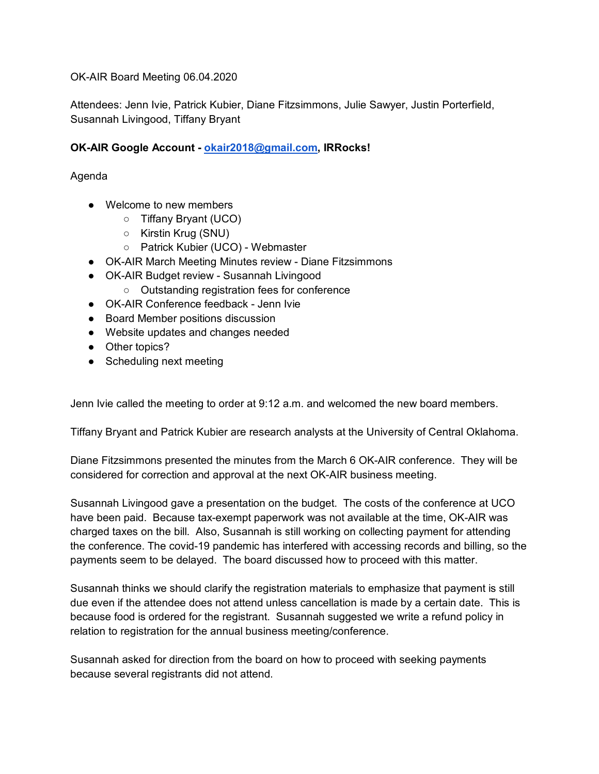OK-AIR Board Meeting 06.04.2020

Attendees: Jenn Ivie, Patrick Kubier, Diane Fitzsimmons, Julie Sawyer, Justin Porterfield, Susannah Livingood, Tiffany Bryant

## **OK-AIR Google Account - [okair2018@gmail.com,](mailto:okair2018@gmail.com) IRRocks!**

Agenda

- Welcome to new members
	- Tiffany Bryant (UCO)
	- Kirstin Krug (SNU)
	- Patrick Kubier (UCO) Webmaster
- OK-AIR March Meeting Minutes review Diane Fitzsimmons
- OK-AIR Budget review Susannah Livingood
	- Outstanding registration fees for conference
- OK-AIR Conference feedback Jenn Ivie
- Board Member positions discussion
- Website updates and changes needed
- Other topics?
- Scheduling next meeting

Jenn Ivie called the meeting to order at 9:12 a.m. and welcomed the new board members.

Tiffany Bryant and Patrick Kubier are research analysts at the University of Central Oklahoma.

Diane Fitzsimmons presented the minutes from the March 6 OK-AIR conference. They will be considered for correction and approval at the next OK-AIR business meeting.

Susannah Livingood gave a presentation on the budget. The costs of the conference at UCO have been paid. Because tax-exempt paperwork was not available at the time, OK-AIR was charged taxes on the bill. Also, Susannah is still working on collecting payment for attending the conference. The covid-19 pandemic has interfered with accessing records and billing, so the payments seem to be delayed. The board discussed how to proceed with this matter.

Susannah thinks we should clarify the registration materials to emphasize that payment is still due even if the attendee does not attend unless cancellation is made by a certain date. This is because food is ordered for the registrant. Susannah suggested we write a refund policy in relation to registration for the annual business meeting/conference.

Susannah asked for direction from the board on how to proceed with seeking payments because several registrants did not attend.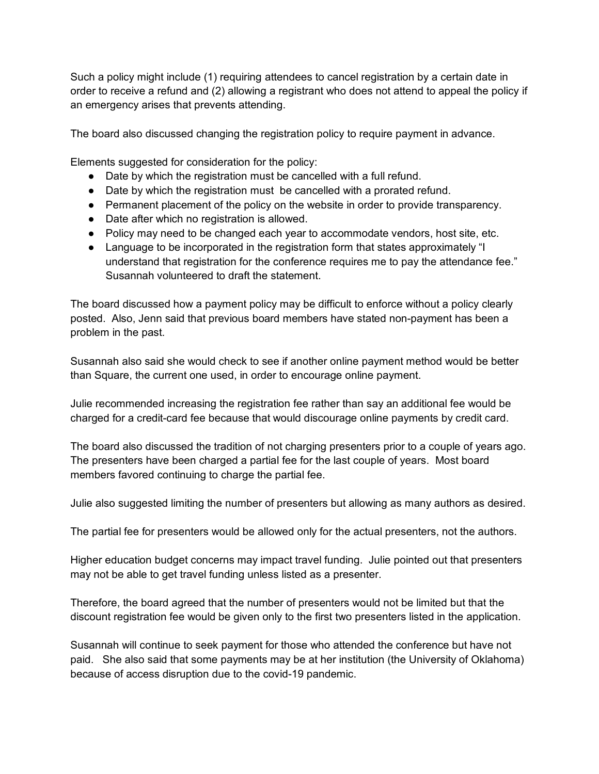Such a policy might include (1) requiring attendees to cancel registration by a certain date in order to receive a refund and (2) allowing a registrant who does not attend to appeal the policy if an emergency arises that prevents attending.

The board also discussed changing the registration policy to require payment in advance.

Elements suggested for consideration for the policy:

- Date by which the registration must be cancelled with a full refund.
- Date by which the registration must be cancelled with a prorated refund.
- Permanent placement of the policy on the website in order to provide transparency.
- Date after which no registration is allowed.
- Policy may need to be changed each year to accommodate vendors, host site, etc.
- Language to be incorporated in the registration form that states approximately "I understand that registration for the conference requires me to pay the attendance fee." Susannah volunteered to draft the statement.

The board discussed how a payment policy may be difficult to enforce without a policy clearly posted. Also, Jenn said that previous board members have stated non-payment has been a problem in the past.

Susannah also said she would check to see if another online payment method would be better than Square, the current one used, in order to encourage online payment.

Julie recommended increasing the registration fee rather than say an additional fee would be charged for a credit-card fee because that would discourage online payments by credit card.

The board also discussed the tradition of not charging presenters prior to a couple of years ago. The presenters have been charged a partial fee for the last couple of years. Most board members favored continuing to charge the partial fee.

Julie also suggested limiting the number of presenters but allowing as many authors as desired.

The partial fee for presenters would be allowed only for the actual presenters, not the authors.

Higher education budget concerns may impact travel funding. Julie pointed out that presenters may not be able to get travel funding unless listed as a presenter.

Therefore, the board agreed that the number of presenters would not be limited but that the discount registration fee would be given only to the first two presenters listed in the application.

Susannah will continue to seek payment for those who attended the conference but have not paid. She also said that some payments may be at her institution (the University of Oklahoma) because of access disruption due to the covid-19 pandemic.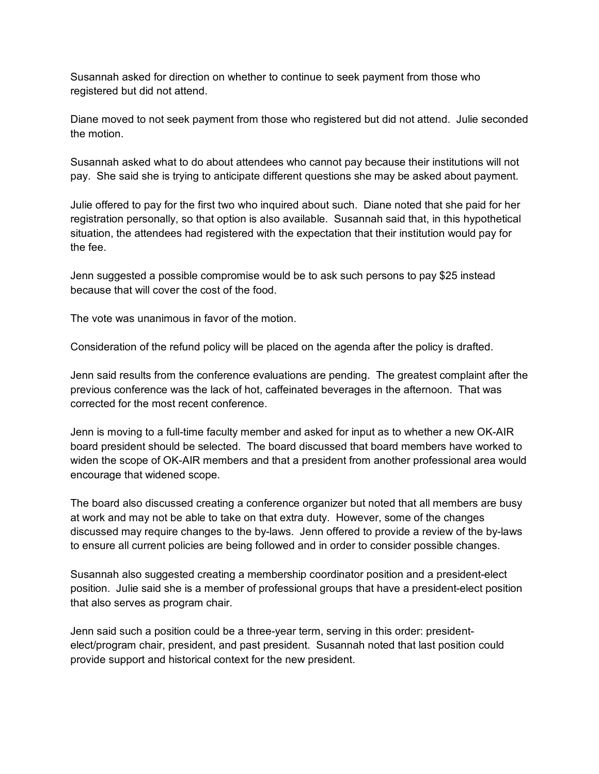Susannah asked for direction on whether to continue to seek payment from those who registered but did not attend.

Diane moved to not seek payment from those who registered but did not attend. Julie seconded the motion.

Susannah asked what to do about attendees who cannot pay because their institutions will not pay. She said she is trying to anticipate different questions she may be asked about payment.

Julie offered to pay for the first two who inquired about such. Diane noted that she paid for her registration personally, so that option is also available. Susannah said that, in this hypothetical situation, the attendees had registered with the expectation that their institution would pay for the fee.

Jenn suggested a possible compromise would be to ask such persons to pay \$25 instead because that will cover the cost of the food.

The vote was unanimous in favor of the motion.

Consideration of the refund policy will be placed on the agenda after the policy is drafted.

Jenn said results from the conference evaluations are pending. The greatest complaint after the previous conference was the lack of hot, caffeinated beverages in the afternoon. That was corrected for the most recent conference.

Jenn is moving to a full-time faculty member and asked for input as to whether a new OK-AIR board president should be selected. The board discussed that board members have worked to widen the scope of OK-AIR members and that a president from another professional area would encourage that widened scope.

The board also discussed creating a conference organizer but noted that all members are busy at work and may not be able to take on that extra duty. However, some of the changes discussed may require changes to the by-laws. Jenn offered to provide a review of the by-laws to ensure all current policies are being followed and in order to consider possible changes.

Susannah also suggested creating a membership coordinator position and a president-elect position. Julie said she is a member of professional groups that have a president-elect position that also serves as program chair.

Jenn said such a position could be a three-year term, serving in this order: presidentelect/program chair, president, and past president. Susannah noted that last position could provide support and historical context for the new president.